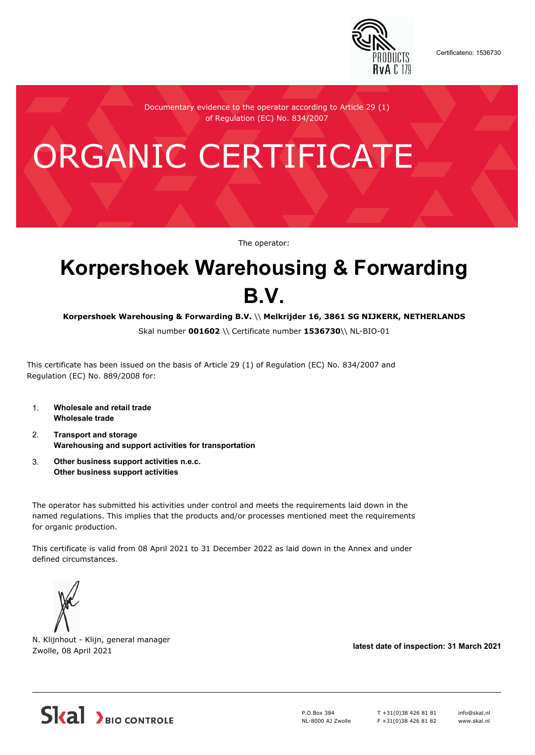

Certificateno: 1536730

Documentary evidence to the operator according to Article 29 (1) of Regulation (EC) No. 834/2007

# ORGANIC CERTIFICATE

The operator:

# **Korpershoek Warehousing & Forwarding B.V.**

**Korpershoek Warehousing & Forwarding B.V.** \\ **Melkrijder 16, 3861 SG NIJKERK, NETHERLANDS**

Skal number **001602** \\ Certificate number **1536730**\\ NL-BIO-01

This certificate has been issued on the basis of Article 29 (1) of Regulation (EC) No. 834/2007 and Regulation (EC) No. 889/2008 for:

- 1. **Wholesale and retail trade Wholesale trade**
- 2. **Transport and storage Warehousing and support activities for transportation**
- 3. **Other business support activities n.e.c. Other business support activities**

The operator has submitted his activities under control and meets the requirements laid down in the named regulations. This implies that the products and/or processes mentioned meet the requirements for organic production.

This certificate is valid from 08 April 2021 to 31 December 2022 as laid down in the Annex and under defined circumstances.



N. Klijnhout - Klijn, general manager Zwolle, 08 April 2021 **latest date of inspection: 31 March 2021**



P.O.Box 384 NL-8000 AJ Zwolle T +31(0)38 426 81 81 F +31(0)38 426 81 82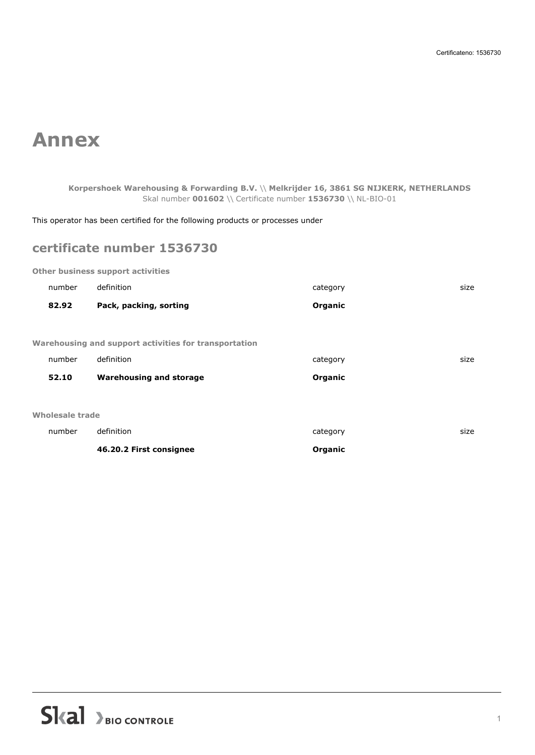## **Annex**

**Korpershoek Warehousing & Forwarding B.V.** \\ **Melkrijder 16, 3861 SG NIJKERK, NETHERLANDS** Skal number **001602** \\ Certificate number **1536730** \\ NL-BIO-01

This operator has been certified for the following products or processes under

## **certificate number 1536730**

**Other business support activities**

|                                                              | number | definition                     | category | size |  |  |
|--------------------------------------------------------------|--------|--------------------------------|----------|------|--|--|
|                                                              | 82.92  | Pack, packing, sorting         | Organic  |      |  |  |
|                                                              |        |                                |          |      |  |  |
| <b>Warehousing and support activities for transportation</b> |        |                                |          |      |  |  |
|                                                              | number | definition                     | category | size |  |  |
|                                                              | 52.10  | <b>Warehousing and storage</b> | Organic  |      |  |  |
|                                                              |        |                                |          |      |  |  |
| Wholesale trade                                              |        |                                |          |      |  |  |
|                                                              | number | definition                     | category | size |  |  |
|                                                              |        | 46.20.2 First consignee        | Organic  |      |  |  |